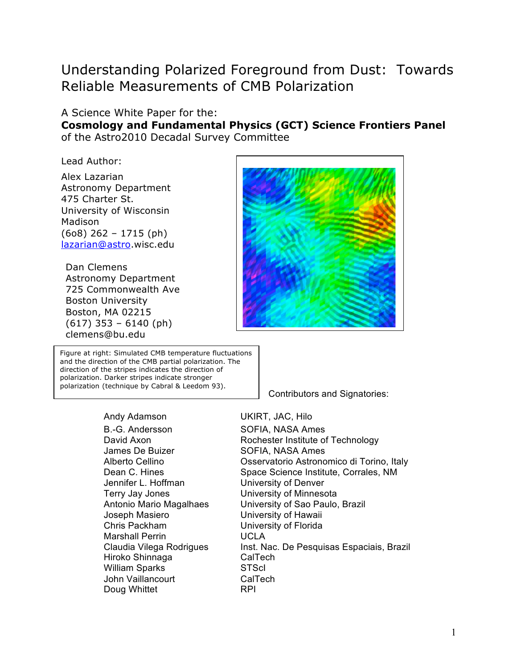# Understanding Polarized Foreground from Dust: Towards Reliable Measurements of CMB Polarization

#### A Science White Paper for the:

**Cosmology and Fundamental Physics (GCT) Science Frontiers Panel** of the Astro2010 Decadal Survey Committee

Lead Author:

Alex Lazarian Astronomy Department 475 Charter St. University of Wisconsin Madison (6o8) 262 – 1715 (ph) lazarian@astro.wisc.edu

Dan Clemens Astronomy Department 725 Commonwealth Ave Boston University Boston, MA 02215 (617) 353 – 6140 (ph) clemens@bu.edu

Figure at right: Simulated CMB temperature fluctuations and the direction of the CMB partial polarization. The direction of the stripes indicates the direction of polarization. Darker stripes indicate stronger polarization (technique by Cabral & Leedom 93).



Contributors and Signatories:

B.-G. Andersson SOFIA, NASA Ames James De Buizer SOFIA, NASA Ames Jennifer L. Hoffman University of Denver Terry Jay Jones University of Minnesota Joseph Masiero University of Hawaii Chris Packham University of Florida Marshall Perrin UCLA Hiroko Shinnaga CalTech William Sparks STScI John Vaillancourt CalTech Doug Whittet **RPI** 

Andy Adamson UKIRT, JAC, Hilo

David Axon Rochester Institute of Technology Alberto Cellino Osservatorio Astronomico di Torino, Italy Dean C. Hines Space Science Institute, Corrales, NM Antonio Mario Magalhaes University of Sao Paulo, Brazil Claudia Vilega Rodrigues Inst. Nac. De Pesquisas Espaciais, Brazil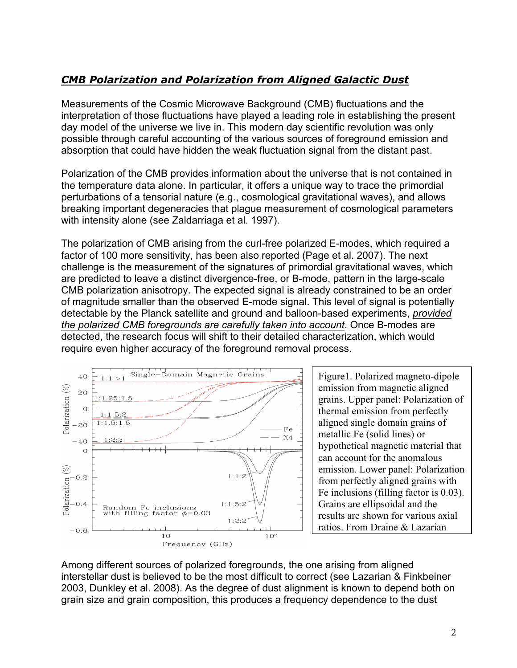# *CMB Polarization and Polarization from Aligned Galactic Dust*

Measurements of the Cosmic Microwave Background (CMB) fluctuations and the interpretation of those fluctuations have played a leading role in establishing the present day model of the universe we live in. This modern day scientific revolution was only possible through careful accounting of the various sources of foreground emission and absorption that could have hidden the weak fluctuation signal from the distant past.

Polarization of the CMB provides information about the universe that is not contained in the temperature data alone. In particular, it offers a unique way to trace the primordial perturbations of a tensorial nature (e.g., cosmological gravitational waves), and allows breaking important degeneracies that plague measurement of cosmological parameters with intensity alone (see Zaldarriaga et al. 1997).

The polarization of CMB arising from the curl-free polarized E-modes, which required a factor of 100 more sensitivity, has been also reported (Page et al. 2007). The next challenge is the measurement of the signatures of primordial gravitational waves, which are predicted to leave a distinct divergence-free, or B-mode, pattern in the large-scale CMB polarization anisotropy. The expected signal is already constrained to be an order of magnitude smaller than the observed E-mode signal. This level of signal is potentially detectable by the Planck satellite and ground and balloon-based experiments, *provided the polarized CMB foregrounds are carefully taken into account*. Once B-modes are detected, the research focus will shift to their detailed characterization, which would require even higher accuracy of the foreground removal process.



Figure1. Polarized magneto-dipole emission from magnetic aligned grains. Upper panel: Polarization of thermal emission from perfectly aligned single domain grains of metallic Fe (solid lines) or hypothetical magnetic material that can account for the anomalous emission. Lower panel: Polarization from perfectly aligned grains with Fe inclusions (filling factor is 0.03). Grains are ellipsoidal and the results are shown for various axial ratios. From Draine & Lazarian

Among different sources of polarized foregrounds, the one arising from aligned interstellar dust is believed to be the most difficult to correct (see Lazarian & Finkbeiner 2003, Dunkley et al. 2008). As the degree of dust alignment is known to depend both on grain size and grain composition, this produces a frequency dependence to the dust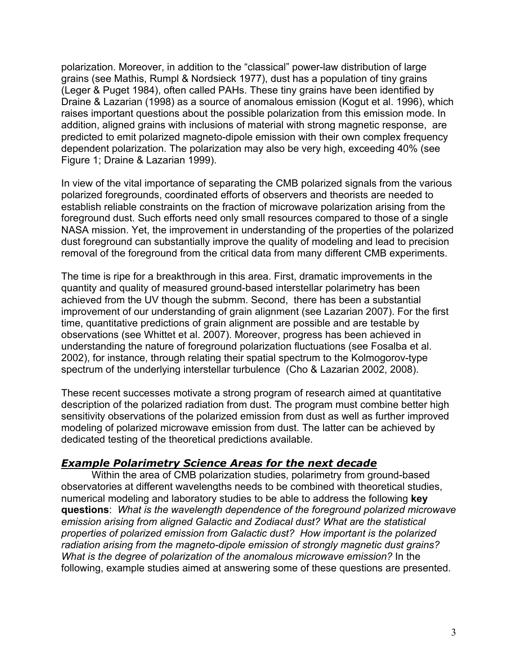polarization. Moreover, in addition to the "classical" power-law distribution of large grains (see Mathis, Rumpl & Nordsieck 1977), dust has a population of tiny grains (Leger & Puget 1984), often called PAHs. These tiny grains have been identified by Draine & Lazarian (1998) as a source of anomalous emission (Kogut et al. 1996), which raises important questions about the possible polarization from this emission mode. In addition, aligned grains with inclusions of material with strong magnetic response, are predicted to emit polarized magneto-dipole emission with their own complex frequency dependent polarization. The polarization may also be very high, exceeding 40% (see Figure 1; Draine & Lazarian 1999).

In view of the vital importance of separating the CMB polarized signals from the various polarized foregrounds, coordinated efforts of observers and theorists are needed to establish reliable constraints on the fraction of microwave polarization arising from the foreground dust. Such efforts need only small resources compared to those of a single NASA mission. Yet, the improvement in understanding of the properties of the polarized dust foreground can substantially improve the quality of modeling and lead to precision removal of the foreground from the critical data from many different CMB experiments.

The time is ripe for a breakthrough in this area. First, dramatic improvements in the quantity and quality of measured ground-based interstellar polarimetry has been achieved from the UV though the submm. Second, there has been a substantial improvement of our understanding of grain alignment (see Lazarian 2007). For the first time, quantitative predictions of grain alignment are possible and are testable by observations (see Whittet et al. 2007). Moreover, progress has been achieved in understanding the nature of foreground polarization fluctuations (see Fosalba et al. 2002), for instance, through relating their spatial spectrum to the Kolmogorov-type spectrum of the underlying interstellar turbulence (Cho & Lazarian 2002, 2008).

These recent successes motivate a strong program of research aimed at quantitative description of the polarized radiation from dust. The program must combine better high sensitivity observations of the polarized emission from dust as well as further improved modeling of polarized microwave emission from dust. The latter can be achieved by dedicated testing of the theoretical predictions available.

# *Example Polarimetry Science Areas for the next decade*

Within the area of CMB polarization studies, polarimetry from ground-based observatories at different wavelengths needs to be combined with theoretical studies, numerical modeling and laboratory studies to be able to address the following **key questions**: *What is the wavelength dependence of the foreground polarized microwave emission arising from aligned Galactic and Zodiacal dust? What are the statistical properties of polarized emission from Galactic dust? How important is the polarized radiation arising from the magneto-dipole emission of strongly magnetic dust grains? What is the degree of polarization of the anomalous microwave emission?* In the following, example studies aimed at answering some of these questions are presented.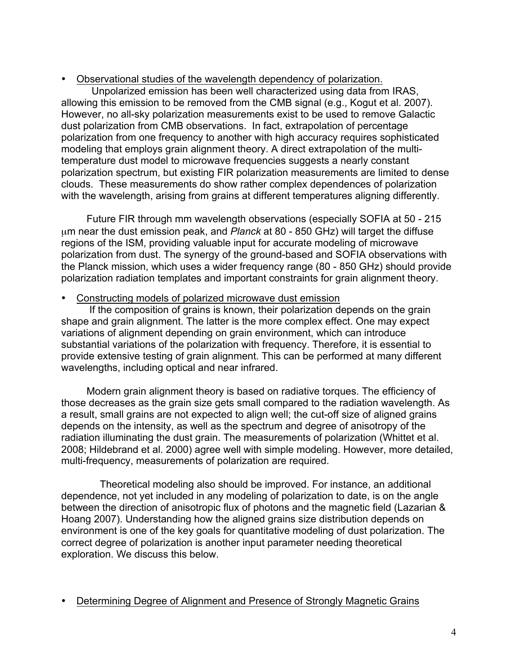#### • Observational studies of the wavelength dependency of polarization.

Unpolarized emission has been well characterized using data from IRAS, allowing this emission to be removed from the CMB signal (e.g., Kogut et al. 2007). However, no all-sky polarization measurements exist to be used to remove Galactic dust polarization from CMB observations. In fact, extrapolation of percentage polarization from one frequency to another with high accuracy requires sophisticated modeling that employs grain alignment theory. A direct extrapolation of the multitemperature dust model to microwave frequencies suggests a nearly constant polarization spectrum, but existing FIR polarization measurements are limited to dense clouds. These measurements do show rather complex dependences of polarization with the wavelength, arising from grains at different temperatures aligning differently.

 Future FIR through mm wavelength observations (especially SOFIA at 50 - 215 µm near the dust emission peak, and *Planck* at 80 - 850 GHz) will target the diffuse regions of the ISM, providing valuable input for accurate modeling of microwave polarization from dust. The synergy of the ground-based and SOFIA observations with the Planck mission, which uses a wider frequency range (80 - 850 GHz) should provide polarization radiation templates and important constraints for grain alignment theory.

#### • Constructing models of polarized microwave dust emission

 If the composition of grains is known, their polarization depends on the grain shape and grain alignment. The latter is the more complex effect. One may expect variations of alignment depending on grain environment, which can introduce substantial variations of the polarization with frequency. Therefore, it is essential to provide extensive testing of grain alignment. This can be performed at many different wavelengths, including optical and near infrared.

 Modern grain alignment theory is based on radiative torques. The efficiency of those decreases as the grain size gets small compared to the radiation wavelength. As a result, small grains are not expected to align well; the cut-off size of aligned grains depends on the intensity, as well as the spectrum and degree of anisotropy of the radiation illuminating the dust grain. The measurements of polarization (Whittet et al. 2008; Hildebrand et al. 2000) agree well with simple modeling. However, more detailed, multi-frequency, measurements of polarization are required.

Theoretical modeling also should be improved. For instance, an additional dependence, not yet included in any modeling of polarization to date, is on the angle between the direction of anisotropic flux of photons and the magnetic field (Lazarian & Hoang 2007). Understanding how the aligned grains size distribution depends on environment is one of the key goals for quantitative modeling of dust polarization. The correct degree of polarization is another input parameter needing theoretical exploration. We discuss this below.

• Determining Degree of Alignment and Presence of Strongly Magnetic Grains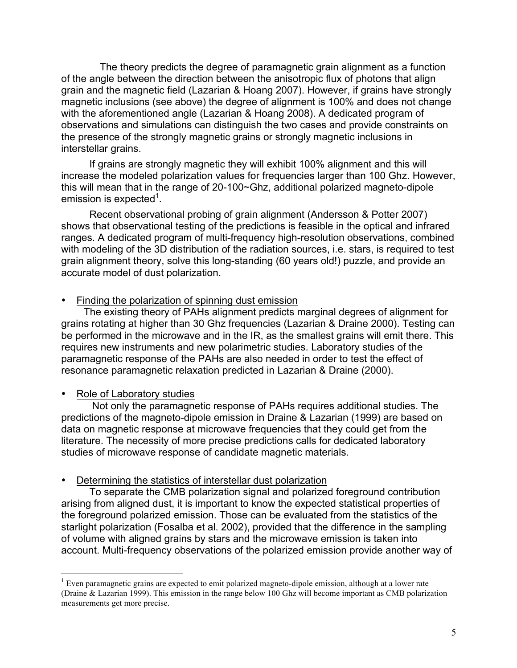The theory predicts the degree of paramagnetic grain alignment as a function of the angle between the direction between the anisotropic flux of photons that align grain and the magnetic field (Lazarian & Hoang 2007). However, if grains have strongly magnetic inclusions (see above) the degree of alignment is 100% and does not change with the aforementioned angle (Lazarian & Hoang 2008). A dedicated program of observations and simulations can distinguish the two cases and provide constraints on the presence of the strongly magnetic grains or strongly magnetic inclusions in interstellar grains.

 If grains are strongly magnetic they will exhibit 100% alignment and this will increase the modeled polarization values for frequencies larger than 100 Ghz. However, this will mean that in the range of 20-100~Ghz, additional polarized magneto-dipole emission is expected<sup>1</sup>.

 Recent observational probing of grain alignment (Andersson & Potter 2007) shows that observational testing of the predictions is feasible in the optical and infrared ranges. A dedicated program of multi-frequency high-resolution observations, combined with modeling of the 3D distribution of the radiation sources, i.e. stars, is required to test grain alignment theory, solve this long-standing (60 years old!) puzzle, and provide an accurate model of dust polarization.

#### • Finding the polarization of spinning dust emission

 The existing theory of PAHs alignment predicts marginal degrees of alignment for grains rotating at higher than 30 Ghz frequencies (Lazarian & Draine 2000). Testing can be performed in the microwave and in the IR, as the smallest grains will emit there. This requires new instruments and new polarimetric studies. Laboratory studies of the paramagnetic response of the PAHs are also needed in order to test the effect of resonance paramagnetic relaxation predicted in Lazarian & Draine (2000).

# Role of Laboratory studies

 Not only the paramagnetic response of PAHs requires additional studies. The predictions of the magneto-dipole emission in Draine & Lazarian (1999) are based on data on magnetic response at microwave frequencies that they could get from the literature. The necessity of more precise predictions calls for dedicated laboratory studies of microwave response of candidate magnetic materials.

#### • Determining the statistics of interstellar dust polarization

 To separate the CMB polarization signal and polarized foreground contribution arising from aligned dust, it is important to know the expected statistical properties of the foreground polarized emission. Those can be evaluated from the statistics of the starlight polarization (Fosalba et al. 2002), provided that the difference in the sampling of volume with aligned grains by stars and the microwave emission is taken into account. Multi-frequency observations of the polarized emission provide another way of

<sup>&</sup>lt;sup>1</sup> Even paramagnetic grains are expected to emit polarized magneto-dipole emission, although at a lower rate (Draine & Lazarian 1999). This emission in the range below 100 Ghz will become important as CMB polarization measurements get more precise.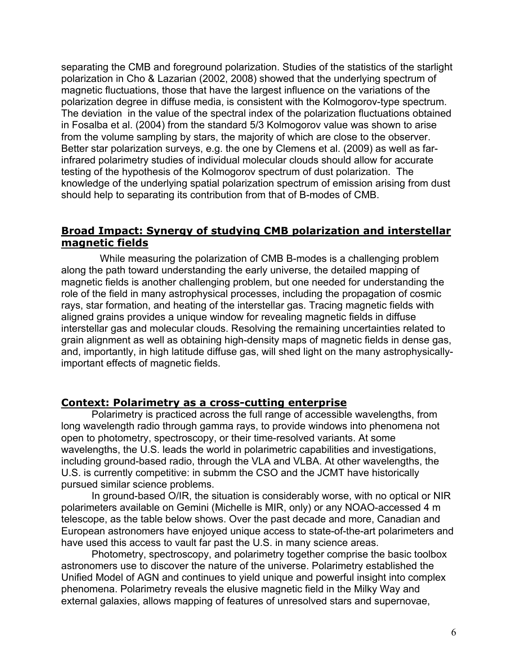separating the CMB and foreground polarization. Studies of the statistics of the starlight polarization in Cho & Lazarian (2002, 2008) showed that the underlying spectrum of magnetic fluctuations, those that have the largest influence on the variations of the polarization degree in diffuse media, is consistent with the Kolmogorov-type spectrum. The deviation in the value of the spectral index of the polarization fluctuations obtained in Fosalba et al. (2004) from the standard 5/3 Kolmogorov value was shown to arise from the volume sampling by stars, the majority of which are close to the observer. Better star polarization surveys, e.g. the one by Clemens et al. (2009) as well as farinfrared polarimetry studies of individual molecular clouds should allow for accurate testing of the hypothesis of the Kolmogorov spectrum of dust polarization. The knowledge of the underlying spatial polarization spectrum of emission arising from dust should help to separating its contribution from that of B-modes of CMB.

# **Broad Impact: Synergy of studying CMB polarization and interstellar magnetic fields**

While measuring the polarization of CMB B-modes is a challenging problem along the path toward understanding the early universe, the detailed mapping of magnetic fields is another challenging problem, but one needed for understanding the role of the field in many astrophysical processes, including the propagation of cosmic rays, star formation, and heating of the interstellar gas. Tracing magnetic fields with aligned grains provides a unique window for revealing magnetic fields in diffuse interstellar gas and molecular clouds. Resolving the remaining uncertainties related to grain alignment as well as obtaining high-density maps of magnetic fields in dense gas, and, importantly, in high latitude diffuse gas, will shed light on the many astrophysicallyimportant effects of magnetic fields.

#### **Context: Polarimetry as a cross-cutting enterprise**

Polarimetry is practiced across the full range of accessible wavelengths, from long wavelength radio through gamma rays, to provide windows into phenomena not open to photometry, spectroscopy, or their time-resolved variants. At some wavelengths, the U.S. leads the world in polarimetric capabilities and investigations, including ground-based radio, through the VLA and VLBA. At other wavelengths, the U.S. is currently competitive: in submm the CSO and the JCMT have historically pursued similar science problems.

In ground-based O/IR, the situation is considerably worse, with no optical or NIR polarimeters available on Gemini (Michelle is MIR, only) or any NOAO-accessed 4 m telescope, as the table below shows. Over the past decade and more, Canadian and European astronomers have enjoyed unique access to state-of-the-art polarimeters and have used this access to vault far past the U.S. in many science areas.

Photometry, spectroscopy, and polarimetry together comprise the basic toolbox astronomers use to discover the nature of the universe. Polarimetry established the Unified Model of AGN and continues to yield unique and powerful insight into complex phenomena. Polarimetry reveals the elusive magnetic field in the Milky Way and external galaxies, allows mapping of features of unresolved stars and supernovae,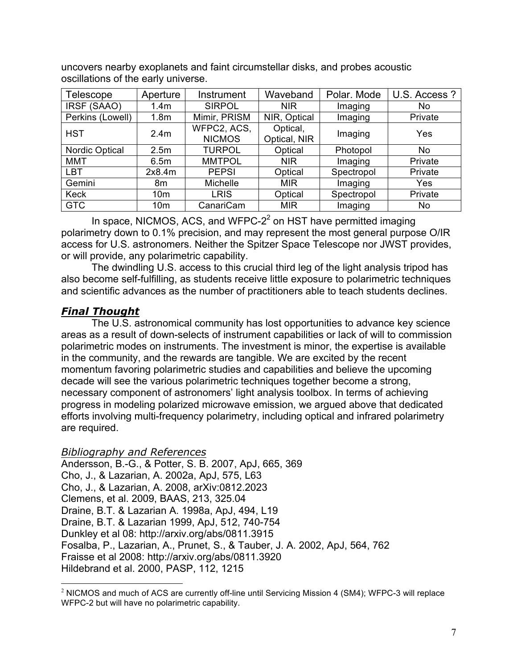uncovers nearby exoplanets and faint circumstellar disks, and probes acoustic oscillations of the early universe.

| Telescope             | Aperture         | Instrument                   | Waveband                 | Polar. Mode | U.S. Access ? |
|-----------------------|------------------|------------------------------|--------------------------|-------------|---------------|
| IRSF (SAAO)           | 1.4 <sub>m</sub> | <b>SIRPOL</b>                | <b>NIR</b>               | Imaging     | No            |
| Perkins (Lowell)      | 1.8 <sub>m</sub> | Mimir, PRISM                 | NIR, Optical             | Imaging     | Private       |
| <b>HST</b>            | 2.4 <sub>m</sub> | WFPC2, ACS,<br><b>NICMOS</b> | Optical,<br>Optical, NIR | Imaging     | Yes           |
| <b>Nordic Optical</b> | 2.5 <sub>m</sub> | <b>TURPOL</b>                | Optical                  | Photopol    | No            |
| <b>MMT</b>            | 6.5m             | <b>MMTPOL</b>                | <b>NIR</b>               | Imaging     | Private       |
| LBT                   | 2x8.4m           | <b>PEPSI</b>                 | Optical                  | Spectropol  | Private       |
| Gemini                | 8m               | Michelle                     | <b>MIR</b>               | Imaging     | Yes           |
| <b>Keck</b>           | 10 <sub>m</sub>  | <b>LRIS</b>                  | Optical                  | Spectropol  | Private       |
| <b>GTC</b>            | 10 <sub>m</sub>  | CanariCam                    | <b>MIR</b>               | Imaging     | No            |

In space, NICMOS, ACS, and WFPC- $2<sup>2</sup>$  on HST have permitted imaging polarimetry down to 0.1% precision, and may represent the most general purpose O/IR access for U.S. astronomers. Neither the Spitzer Space Telescope nor JWST provides, or will provide, any polarimetric capability.

The dwindling U.S. access to this crucial third leg of the light analysis tripod has also become self-fulfilling, as students receive little exposure to polarimetric techniques and scientific advances as the number of practitioners able to teach students declines.

# *Final Thought*

The U.S. astronomical community has lost opportunities to advance key science areas as a result of down-selects of instrument capabilities or lack of will to commission polarimetric modes on instruments. The investment is minor, the expertise is available in the community, and the rewards are tangible. We are excited by the recent momentum favoring polarimetric studies and capabilities and believe the upcoming decade will see the various polarimetric techniques together become a strong, necessary component of astronomers' light analysis toolbox. In terms of achieving progress in modeling polarized microwave emission, we argued above that dedicated efforts involving multi-frequency polarimetry, including optical and infrared polarimetry are required.

# *Bibliography and References*

Andersson, B.-G., & Potter, S. B. 2007, ApJ, 665, 369 Cho, J., & Lazarian, A. 2002a, ApJ, 575, L63 Cho, J., & Lazarian, A. 2008, arXiv:0812.2023 Clemens, et al. 2009, BAAS, 213, 325.04 Draine, B.T. & Lazarian A. 1998a, ApJ, 494, L19 Draine, B.T. & Lazarian 1999, ApJ, 512, 740-754 Dunkley et al 08: http://arxiv.org/abs/0811.3915 Fosalba, P., Lazarian, A., Prunet, S., & Tauber, J. A. 2002, ApJ, 564, 762 Fraisse et al 2008: http://arxiv.org/abs/0811.3920 Hildebrand et al. 2000, PASP, 112, 1215

 $2$  NICMOS and much of ACS are currently off-line until Servicing Mission 4 (SM4); WFPC-3 will replace WFPC-2 but will have no polarimetric capability.